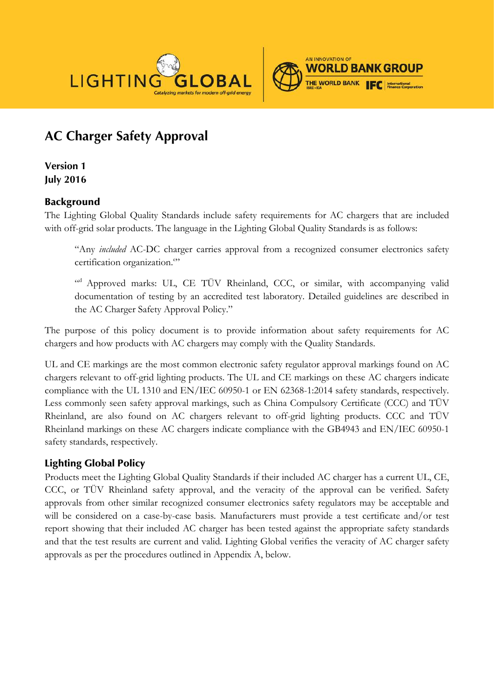



# **AC Charger Safety Approval**

**Version 1 July 2016**

# Background

The Lighting Global Quality Standards include safety requirements for AC chargers that are included with off-grid solar products. The language in the Lighting Global Quality Standards is as follows:

"Any *included* AC-DC charger carries approval from a recognized consumer electronics safety certification organization.<sup>e</sup>"

<sup>"d</sup> Approved marks: UL, CE TÜV Rheinland, CCC, or similar, with accompanying valid documentation of testing by an accredited test laboratory. Detailed guidelines are described in the AC Charger Safety Approval Policy."

The purpose of this policy document is to provide information about safety requirements for AC chargers and how products with AC chargers may comply with the Quality Standards.

UL and CE markings are the most common electronic safety regulator approval markings found on AC chargers relevant to off-grid lighting products. The UL and CE markings on these AC chargers indicate compliance with the UL 1310 and EN/IEC 60950-1 or EN 62368-1:2014 safety standards, respectively. Less commonly seen safety approval markings, such as China Compulsory Certificate (CCC) and TÜV Rheinland, are also found on AC chargers relevant to off-grid lighting products. CCC and TÜV Rheinland markings on these AC chargers indicate compliance with the GB4943 and EN/IEC 60950-1 safety standards, respectively.

# Lighting Global Policy

Products meet the Lighting Global Quality Standards if their included AC charger has a current UL, CE, CCC, or TÜV Rheinland safety approval, and the veracity of the approval can be verified. Safety approvals from other similar recognized consumer electronics safety regulators may be acceptable and will be considered on a case-by-case basis. Manufacturers must provide a test certificate and/or test report showing that their included AC charger has been tested against the appropriate safety standards and that the test results are current and valid. Lighting Global verifies the veracity of AC charger safety approvals as per the procedures outlined in Appendix A, below.